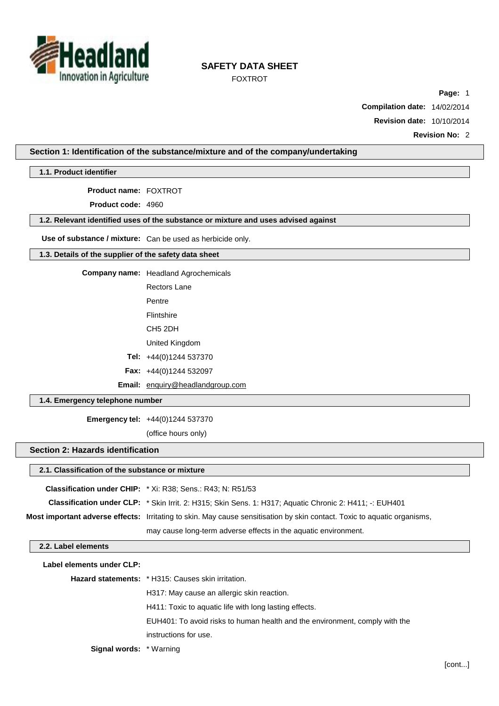

FOXTROT

**Page:** 1

**Compilation date:** 14/02/2014

**Revision date:** 10/10/2014

**Revision No:** 2

#### **Section 1: Identification of the substance/mixture and of the company/undertaking**

**1.1. Product identifier**

**Product name:** FOXTROT

**Product code:** 4960

#### **1.2. Relevant identified uses of the substance or mixture and uses advised against**

**Use of substance / mixture:** Can be used as herbicide only.

#### **1.3. Details of the supplier of the safety data sheet**

**Company name:** Headland Agrochemicals

Rectors Lane

Pentre

Flintshire

CH5 2DH

United Kingdom

**Tel:** +44(0)1244 537370

**Fax:** +44(0)1244 532097

**Email:** [enquiry@headlandgroup.com](mailto:enquiry@headlandgroup.com)

#### **1.4. Emergency telephone number**

**Emergency tel:** +44(0)1244 537370

(office hours only)

#### **Section 2: Hazards identification**

#### **2.1. Classification of the substance or mixture**

|                     | <b>Classification under CHIP:</b> * Xi: R38; Sens.: R43; N: R51/53                                                       |
|---------------------|--------------------------------------------------------------------------------------------------------------------------|
|                     | Classification under CLP: * Skin Irrit. 2: H315; Skin Sens. 1: H317; Aquatic Chronic 2: H411; -: EUH401                  |
|                     | Most important adverse effects: Irritating to skin. May cause sensitisation by skin contact. Toxic to aquatic organisms, |
|                     | may cause long-term adverse effects in the aquatic environment.                                                          |
| 2.2. Label elements |                                                                                                                          |
|                     |                                                                                                                          |

| Label elements under CLP:      |                                                                             |  |  |  |  |
|--------------------------------|-----------------------------------------------------------------------------|--|--|--|--|
|                                | <b>Hazard statements:</b> * H315: Causes skin irritation.                   |  |  |  |  |
|                                | H317: May cause an allergic skin reaction.                                  |  |  |  |  |
|                                | H411: Toxic to aquatic life with long lasting effects.                      |  |  |  |  |
|                                | EUH401: To avoid risks to human health and the environment, comply with the |  |  |  |  |
|                                | instructions for use.                                                       |  |  |  |  |
| <b>Signal words:</b> * Warning |                                                                             |  |  |  |  |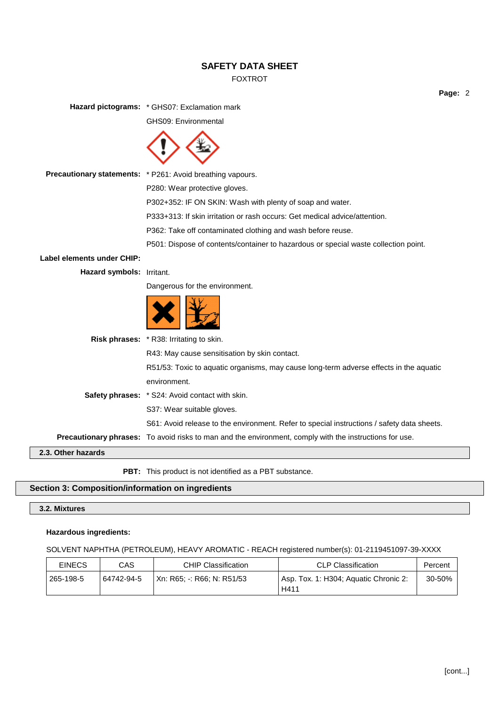## FOXTROT

**Page:** 2

**Hazard pictograms:** \* GHS07: Exclamation mark GHS09: Environmental **Precautionary statements:** \* P261: Avoid breathing vapours. P280: Wear protective gloves. P302+352: IF ON SKIN: Wash with plenty of soap and water. P333+313: If skin irritation or rash occurs: Get medical advice/attention. P362: Take off contaminated clothing and wash before reuse. P501: Dispose of contents/container to hazardous or special waste collection point. **Label elements under CHIP: Hazard symbols:** Irritant. Dangerous for the environment. **Risk phrases:** \* R38: Irritating to skin. R43: May cause sensitisation by skin contact. R51/53: Toxic to aquatic organisms, may cause long-term adverse effects in the aquatic environment. **Safety phrases:** \* S24: Avoid contact with skin. S37: Wear suitable gloves. S61: Avoid release to the environment. Refer to special instructions / safety data sheets. **Precautionary phrases:** To avoid risks to man and the environment, comply with the instructions for use. **2.3. Other hazards**

**PBT:** This product is not identified as a PBT substance.

## **Section 3: Composition/information on ingredients**

## **3.2. Mixtures**

#### **Hazardous ingredients:**

SOLVENT NAPHTHA (PETROLEUM), HEAVY AROMATIC - REACH registered number(s): 01-2119451097-39-XXXX

| <b>EINECS</b> | CAS        | <b>CHIP Classification</b>     | CLP Classification                            | Percent |
|---------------|------------|--------------------------------|-----------------------------------------------|---------|
| ່ 265-198-5   | 64742-94-5 | ' Xn: R65: -: R66: N: R51/53 ∶ | Asp. Tox. 1: H304; Aquatic Chronic 2:<br>H411 | 30-50%  |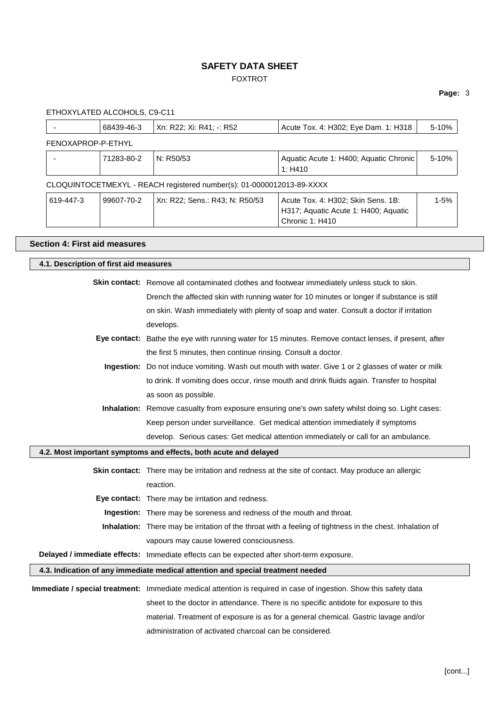## FOXTROT

## **Page:** 3

ETHOXYLATED ALCOHOLS, C9-C11

|                    | 68439-46-3 | Xn: R22; Xi: R41; -: R52                                              | Acute Tox. 4: H302; Eye Dam. 1: H318                                                          | 5-10%    |
|--------------------|------------|-----------------------------------------------------------------------|-----------------------------------------------------------------------------------------------|----------|
| FENOXAPROP-P-ETHYL |            |                                                                       |                                                                                               |          |
|                    | 71283-80-2 | N: R50/53                                                             | Aquatic Acute 1: H400; Aquatic Chronic<br>1: H410                                             | $5-10%$  |
|                    |            | CLOQUINTOCETMEXYL - REACH registered number(s): 01-0000012013-89-XXXX |                                                                                               |          |
| 619-447-3          | 99607-70-2 | Xn: R22; Sens.: R43; N: R50/53                                        | Acute Tox. 4: H302; Skin Sens. 1B:<br>H317; Aquatic Acute 1: H400; Aquatic<br>Chronic 1: H410 | $1 - 5%$ |

## **Section 4: First aid measures**

| 4.1. Description of first aid measures |                                                                                                                    |
|----------------------------------------|--------------------------------------------------------------------------------------------------------------------|
|                                        | <b>Skin contact:</b> Remove all contaminated clothes and footwear immediately unless stuck to skin.                |
|                                        | Drench the affected skin with running water for 10 minutes or longer if substance is still                         |
|                                        | on skin. Wash immediately with plenty of soap and water. Consult a doctor if irritation                            |
|                                        | develops.                                                                                                          |
|                                        | Eye contact: Bathe the eye with running water for 15 minutes. Remove contact lenses, if present, after             |
|                                        | the first 5 minutes, then continue rinsing. Consult a doctor.                                                      |
|                                        | Ingestion: Do not induce vomiting. Wash out mouth with water. Give 1 or 2 glasses of water or milk                 |
|                                        | to drink. If vomiting does occur, rinse mouth and drink fluids again. Transfer to hospital                         |
|                                        | as soon as possible.                                                                                               |
|                                        | Inhalation: Remove casualty from exposure ensuring one's own safety whilst doing so. Light cases:                  |
|                                        | Keep person under surveillance. Get medical attention immediately if symptoms                                      |
|                                        | develop. Serious cases: Get medical attention immediately or call for an ambulance.                                |
|                                        | 4.2. Most important symptoms and effects, both acute and delayed                                                   |
|                                        | Skin contact: There may be irritation and redness at the site of contact. May produce an allergic                  |
|                                        | reaction.                                                                                                          |
|                                        | Eye contact: There may be irritation and redness.                                                                  |
|                                        | Ingestion: There may be soreness and redness of the mouth and throat.                                              |
|                                        | Inhalation: There may be irritation of the throat with a feeling of tightness in the chest. Inhalation of          |
|                                        | vapours may cause lowered consciousness.                                                                           |
|                                        | Delayed / immediate effects: Immediate effects can be expected after short-term exposure.                          |
|                                        | 4.3. Indication of any immediate medical attention and special treatment needed                                    |
|                                        | Immediate / special treatment: Immediate medical attention is required in case of ingestion. Show this safety data |
|                                        |                                                                                                                    |
|                                        | sheet to the doctor in attendance. There is no specific antidote for exposure to this                              |
|                                        | material. Treatment of exposure is as for a general chemical. Gastric lavage and/or                                |
|                                        | administration of activated charcoal can be considered.                                                            |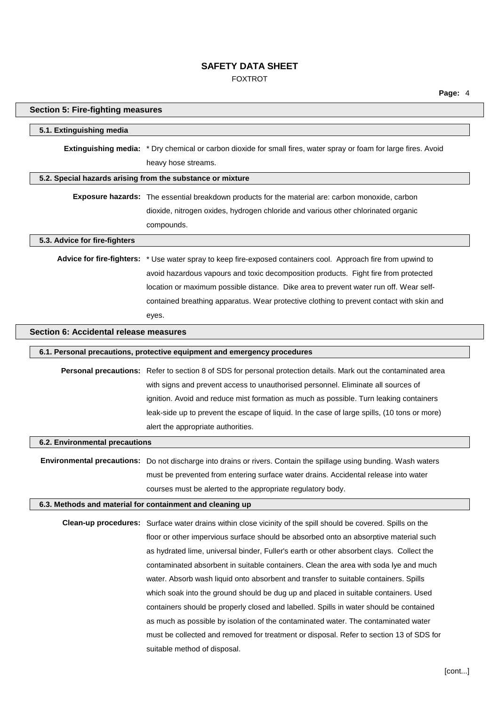FOXTROT

| <b>Section 5: Fire-fighting measures</b>                                                         |                                                                                                                                          |  |  |
|--------------------------------------------------------------------------------------------------|------------------------------------------------------------------------------------------------------------------------------------------|--|--|
| 5.1. Extinguishing media                                                                         |                                                                                                                                          |  |  |
|                                                                                                  | Extinguishing media: * Dry chemical or carbon dioxide for small fires, water spray or foam for large fires. Avoid<br>heavy hose streams. |  |  |
|                                                                                                  | 5.2. Special hazards arising from the substance or mixture                                                                               |  |  |
| Exposure hazards: The essential breakdown products for the material are: carbon monoxide, carbon |                                                                                                                                          |  |  |
|                                                                                                  | dioxide, nitrogen oxides, hydrogen chloride and various other chlorinated organic                                                        |  |  |
|                                                                                                  | compounds.                                                                                                                               |  |  |
| 5.3. Advice for fire-fighters                                                                    |                                                                                                                                          |  |  |
|                                                                                                  | Advice for fire-fighters: * Use water spray to keep fire-exposed containers cool. Approach fire from upwind to                           |  |  |
|                                                                                                  | avoid hazardous vapours and toxic decomposition products. Fight fire from protected                                                      |  |  |
|                                                                                                  | location or maximum possible distance. Dike area to prevent water run off. Wear self-                                                    |  |  |
|                                                                                                  | contained breathing apparatus. Wear protective clothing to prevent contact with skin and                                                 |  |  |
|                                                                                                  | eyes.                                                                                                                                    |  |  |
| Section 6: Accidental release measures                                                           |                                                                                                                                          |  |  |
|                                                                                                  | 6.1. Personal precautions, protective equipment and emergency procedures                                                                 |  |  |
|                                                                                                  | Personal precautions: Refer to section 8 of SDS for personal protection details. Mark out the contaminated area                          |  |  |
|                                                                                                  | with signs and prevent access to unauthorised personnel. Eliminate all sources of                                                        |  |  |
|                                                                                                  | ignition. Avoid and reduce mist formation as much as possible. Turn leaking containers                                                   |  |  |
|                                                                                                  | leak-side up to prevent the escape of liquid. In the case of large spills, (10 tons or more)                                             |  |  |
|                                                                                                  | alert the appropriate authorities.                                                                                                       |  |  |
| 6.2. Environmental precautions                                                                   |                                                                                                                                          |  |  |
|                                                                                                  | Environmental precautions: Do not discharge into drains or rivers. Contain the spillage using bunding. Wash waters                       |  |  |
|                                                                                                  | must be prevented from entering surface water drains. Accidental release into water                                                      |  |  |
|                                                                                                  | courses must be alerted to the appropriate regulatory body.                                                                              |  |  |
|                                                                                                  | 6.3. Methods and material for containment and cleaning up                                                                                |  |  |
|                                                                                                  | Clean-up procedures: Surface water drains within close vicinity of the spill should be covered. Spills on the                            |  |  |
|                                                                                                  | floor or other impervious surface should be absorbed onto an absorptive material such                                                    |  |  |
|                                                                                                  | as hydrated lime, universal binder, Fuller's earth or other absorbent clays. Collect the                                                 |  |  |
|                                                                                                  | contaminated absorbent in suitable containers. Clean the area with soda lye and much                                                     |  |  |
|                                                                                                  | water. Absorb wash liquid onto absorbent and transfer to suitable containers. Spills                                                     |  |  |
|                                                                                                  | which soak into the ground should be dug up and placed in suitable containers. Used                                                      |  |  |
|                                                                                                  | containers should be properly closed and labelled. Spills in water should be contained                                                   |  |  |
|                                                                                                  | as much as possible by isolation of the contaminated water. The contaminated water                                                       |  |  |
|                                                                                                  | must be collected and removed for treatment or disposal. Refer to section 13 of SDS for                                                  |  |  |
|                                                                                                  | suitable method of disposal.                                                                                                             |  |  |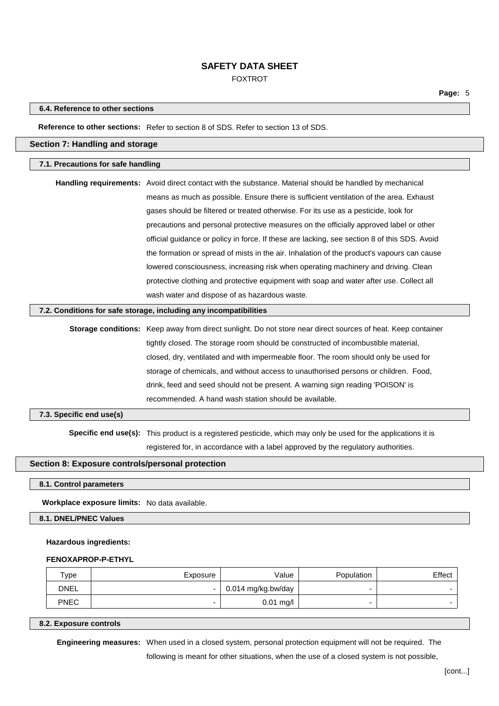FOXTROT

#### **6.4. Reference to other sections**

#### **Reference to other sections:** Refer to section 8 of SDS. Refer to section 13 of SDS.

### **Section 7: Handling and storage**

#### **7.1. Precautions for safe handling**

| <b>Handling requirements:</b> Avoid direct contact with the substance. Material should be handled by mechanical |
|-----------------------------------------------------------------------------------------------------------------|
| means as much as possible. Ensure there is sufficient ventilation of the area. Exhaust                          |
| gases should be filtered or treated otherwise. For its use as a pesticide, look for                             |
| precautions and personal protective measures on the officially approved label or other                          |
| official guidance or policy in force. If these are lacking, see section 8 of this SDS. Avoid                    |
| the formation or spread of mists in the air. Inhalation of the product's vapours can cause                      |
| lowered consciousness, increasing risk when operating machinery and driving. Clean                              |
| protective clothing and protective equipment with soap and water after use. Collect all                         |
| wash water and dispose of as hazardous waste.                                                                   |

#### **7.2. Conditions for safe storage, including any incompatibilities**

**Storage conditions:** Keep away from direct sunlight. Do not store near direct sources of heat. Keep container tightly closed. The storage room should be constructed of incombustible material, closed, dry, ventilated and with impermeable floor. The room should only be used for storage of chemicals, and without access to unauthorised persons or children. Food, drink, feed and seed should not be present. A warning sign reading 'POISON' is recommended. A hand wash station should be available.

#### **7.3. Specific end use(s)**

**Specific end use(s):** This product is a registered pesticide, which may only be used for the applications it is registered for, in accordance with a label approved by the regulatory authorities.

#### **Section 8: Exposure controls/personal protection**

**8.1. Control parameters**

#### **Workplace exposure limits:** No data available.

**8.1. DNEL/PNEC Values**

#### **Hazardous ingredients:**

#### **FENOXAPROP-P-ETHYL**

| Type        | Exposure | Value                      | Population | Effect |
|-------------|----------|----------------------------|------------|--------|
| <b>DNEL</b> | $\sim$   | $\vert$ 0.014 mg/kg.bw/day |            |        |
| <b>PNEC</b> | -        | $0.01$ mg/l                |            |        |

#### **8.2. Exposure controls**

**Engineering measures:** When used in a closed system, personal protection equipment will not be required. The following is meant for other situations, when the use of a closed system is not possible,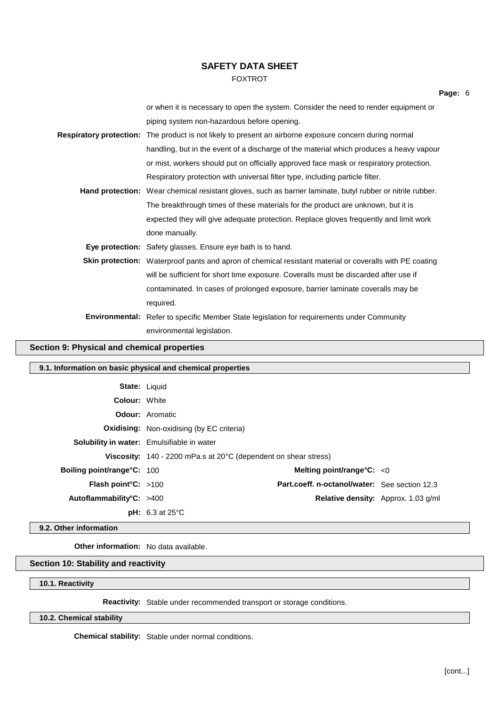## FOXTROT

| or when it is necessary to open the system. Consider the need to render equipment or                           |
|----------------------------------------------------------------------------------------------------------------|
| piping system non-hazardous before opening.                                                                    |
| Respiratory protection: The product is not likely to present an airborne exposure concern during normal        |
| handling, but in the event of a discharge of the material which produces a heavy vapour                        |
| or mist, workers should put on officially approved face mask or respiratory protection.                        |
| Respiratory protection with universal filter type, including particle filter.                                  |
| Hand protection: Wear chemical resistant gloves, such as barrier laminate, butyl rubber or nitrile rubber.     |
| The breakthrough times of these materials for the product are unknown, but it is                               |
| expected they will give adequate protection. Replace gloves frequently and limit work                          |
| done manually.                                                                                                 |
| <b>Eye protection:</b> Safety glasses. Ensure eye bath is to hand.                                             |
| <b>Skin protection:</b> Waterproof pants and apron of chemical resistant material or coveralls with PE coating |
| will be sufficient for short time exposure. Coveralls must be discarded after use if                           |
| contaminated. In cases of prolonged exposure, barrier laminate coveralls may be                                |
| required.                                                                                                      |
| <b>Environmental:</b> Refer to specific Member State legislation for requirements under Community              |
| environmental legislation.                                                                                     |
|                                                                                                                |

## **Section 9: Physical and chemical properties**

## **9.1. Information on basic physical and chemical properties**

| <b>State: Liquid</b>               |                                                                                  |                                                      |  |
|------------------------------------|----------------------------------------------------------------------------------|------------------------------------------------------|--|
| <b>Colour: White</b>               |                                                                                  |                                                      |  |
|                                    | <b>Odour:</b> Aromatic                                                           |                                                      |  |
|                                    | <b>Oxidising:</b> Non-oxidising (by EC criteria)                                 |                                                      |  |
|                                    | <b>Solubility in water:</b> Emulsifiable in water                                |                                                      |  |
|                                    | <b>Viscosity:</b> 140 - 2200 mPa.s at $20^{\circ}$ C (dependent on shear stress) |                                                      |  |
| <b>Boiling point/range °C: 100</b> |                                                                                  | Melting point/range $C: < 0$                         |  |
| <b>Flash point °C:</b> $>100$      |                                                                                  | <b>Part.coeff. n-octanol/water:</b> See section 12.3 |  |
| Autoflammability°C: $>400$         |                                                                                  | <b>Relative density:</b> Approx. 1.03 g/ml           |  |
|                                    | <b>pH:</b> $6.3$ at $25^{\circ}$ C                                               |                                                      |  |

**9.2. Other information**

**Other information:** No data available.

## **Section 10: Stability and reactivity**

**10.1. Reactivity**

**Reactivity:** Stable under recommended transport or storage conditions.

## **10.2. Chemical stability**

**Chemical stability:** Stable under normal conditions.

**Page:** 6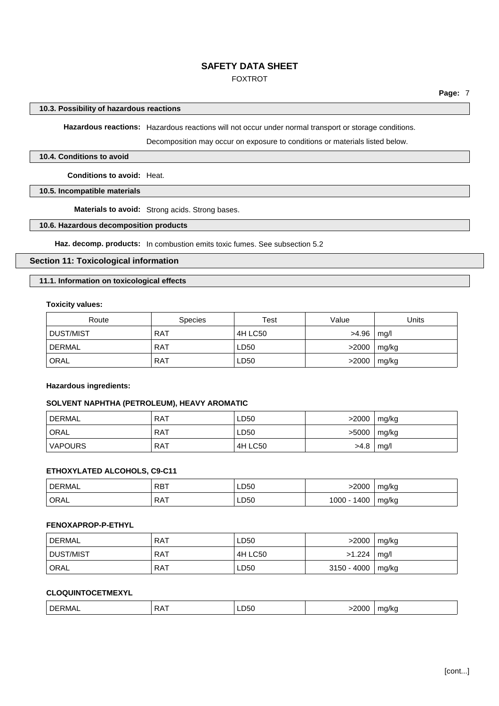## FOXTROT

#### **10.3. Possibility of hazardous reactions**

**Hazardous reactions:** Hazardous reactions will not occur under normal transport or storage conditions.

Decomposition may occur on exposure to conditions or materials listed below.

#### **10.4. Conditions to avoid**

**Conditions to avoid:** Heat.

#### **10.5. Incompatible materials**

**Materials to avoid:** Strong acids. Strong bases.

### **10.6. Hazardous decomposition products**

**Haz. decomp. products:** In combustion emits toxic fumes. See subsection 5.2

#### **Section 11: Toxicological information**

## **11.1. Information on toxicological effects**

#### **Toxicity values:**

| Route         | <b>Species</b> | Test    | Value | Units |
|---------------|----------------|---------|-------|-------|
| DUST/MIST     | RAT            | 4H LC50 | >4.96 | mq/l  |
| <b>DERMAL</b> | <b>RAT</b>     | LD50    | >2000 | mg/kg |
| ORAL          | <b>RAT</b>     | LD50    | >2000 | mg/kg |

#### **Hazardous ingredients:**

#### **SOLVENT NAPHTHA (PETROLEUM), HEAVY AROMATIC**

| <b>DERMAL</b>  | <b>RAT</b> | LD50    | >2000 | mg/kg |
|----------------|------------|---------|-------|-------|
| <b>ORAL</b>    | <b>RAT</b> | LD50    | >5000 | mg/kg |
| <b>VAPOURS</b> | . RAT      | 4H LC50 | >4.8  | mq/l  |

## **ETHOXYLATED ALCOHOLS, C9-C11**

| <b>DERMAL</b> | <b>RBT</b> | LD50 | 2000         | mg/kg |
|---------------|------------|------|--------------|-------|
| ORAL          | RAT        | LD50 | 1400<br>1000 | mg/kg |

#### **FENOXAPROP-P-ETHYL**

| DERMAL    | <b>RAT</b> | LD50    | >2000         | mg/kg |
|-----------|------------|---------|---------------|-------|
| DUST/MIST | <b>RAT</b> | 4H LC50 | >1.224        | mq/l  |
| ORAL      | <b>RAT</b> | LD50    | $3150 - 4000$ | mg/kg |

## **CLOQUINTOCETMEXYL**

|  | ЫF<br>IVI 4 | . . | - JU<br>--<br>$ -$ | . | . . |
|--|-------------|-----|--------------------|---|-----|
|--|-------------|-----|--------------------|---|-----|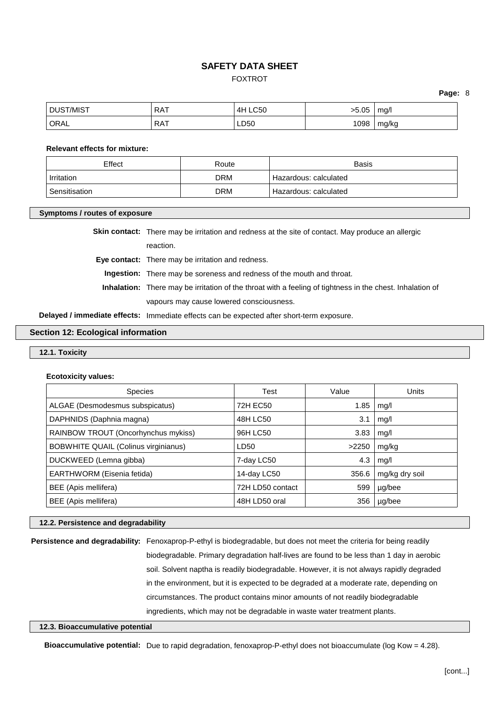## FOXTROT

**Page:** 8

| <b>DUST/MIST</b> | <b>RAT</b> | <b>LC50</b><br>4H | -5.05 | ma/l  |
|------------------|------------|-------------------|-------|-------|
| ORAL             | <b>RAT</b> | LD50              | 1098  | mg/kg |

#### **Relevant effects for mixture:**

| Effect        | Route      | Basis                   |
|---------------|------------|-------------------------|
| Irritation    | <b>DRM</b> | Hazardous: calculated   |
| Sensitisation | <b>DRM</b> | ' Hazardous: calculated |

#### **Symptoms / routes of exposure**

**Skin contact:** There may be irritation and redness at the site of contact. May produce an allergic

reaction.

**Eye contact:** There may be irritation and redness.

**Ingestion:** There may be soreness and redness of the mouth and throat.

**Inhalation:** There may be irritation of the throat with a feeling of tightness in the chest. Inhalation of vapours may cause lowered consciousness.

**Delayed / immediate effects:** Immediate effects can be expected after short-term exposure.

#### **Section 12: Ecological information**

#### **12.1. Toxicity**

**Ecotoxicity values:**

| <b>Species</b>                       | Test             | Value | Units          |
|--------------------------------------|------------------|-------|----------------|
| ALGAE (Desmodesmus subspicatus)      | 72H EC50         | 1.85  | mg/l           |
| DAPHNIDS (Daphnia magna)             | 48H LC50         | 3.1   | mq/l           |
| RAINBOW TROUT (Oncorhynchus mykiss)  | 96H LC50         | 3.83  | mg/l           |
| BOBWHITE QUAIL (Colinus virginianus) | LD50             | >2250 | mg/kg          |
| DUCKWEED (Lemna gibba)               | 7-day LC50       | 4.3   | mq/l           |
| EARTHWORM (Eisenia fetida)           | 14-day LC50      | 356.6 | mg/kg dry soil |
| BEE (Apis mellifera)                 | 72H LD50 contact | 599   | µg/bee         |
| BEE (Apis mellifera)                 | 48H LD50 oral    | 356   | µg/bee         |

## **12.2. Persistence and degradability**

**Persistence and degradability:** Fenoxaprop-P-ethyl is biodegradable, but does not meet the criteria for being readily biodegradable. Primary degradation half-lives are found to be less than 1 day in aerobic soil. Solvent naptha is readily biodegradable. However, it is not always rapidly degraded in the environment, but it is expected to be degraded at a moderate rate, depending on circumstances. The product contains minor amounts of not readily biodegradable ingredients, which may not be degradable in waste water treatment plants.

#### **12.3. Bioaccumulative potential**

**Bioaccumulative potential:** Due to rapid degradation, fenoxaprop-P-ethyl does not bioaccumulate (log Kow = 4.28).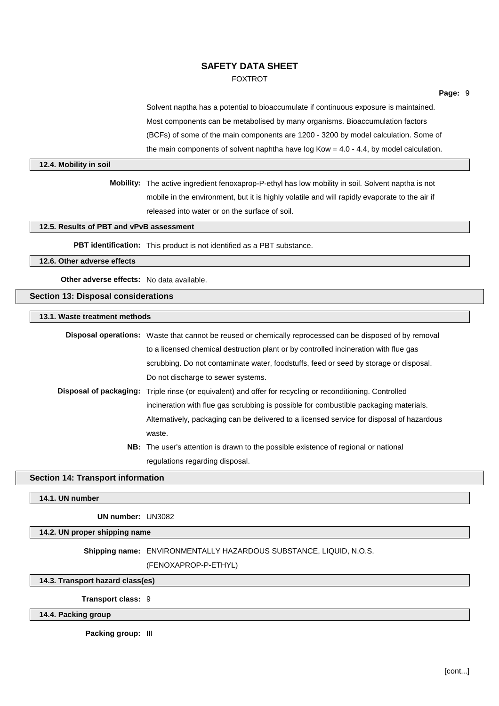### FOXTROT

Solvent naptha has a potential to bioaccumulate if continuous exposure is maintained. Most components can be metabolised by many organisms. Bioaccumulation factors (BCFs) of some of the main components are 1200 - 3200 by model calculation. Some of the main components of solvent naphtha have  $log Kow = 4.0 - 4.4$ , by model calculation.

#### **12.4. Mobility in soil**

**Mobility:** The active ingredient fenoxaprop-P-ethyl has low mobility in soil. Solvent naptha is not mobile in the environment, but it is highly volatile and will rapidly evaporate to the air if released into water or on the surface of soil.

## **12.5. Results of PBT and vPvB assessment**

**PBT identification:** This product is not identified as a PBT substance.

**12.6. Other adverse effects**

**Other adverse effects:** No data available.

#### **Section 13: Disposal considerations**

**13.1. Waste treatment methods**

| <b>Disposal operations:</b> Waste that cannot be reused or chemically reprocessed can be disposed of by removal  |
|------------------------------------------------------------------------------------------------------------------|
| to a licensed chemical destruction plant or by controlled incineration with flue gas                             |
| scrubbing. Do not contaminate water, foodstuffs, feed or seed by storage or disposal.                            |
| Do not discharge to sewer systems.                                                                               |
| <b>Disposal of packaging:</b> Triple rinse (or equivalent) and offer for recycling or reconditioning. Controlled |
| incineration with flue gas scrubbing is possible for combustible packaging materials.                            |
| Alternatively, packaging can be delivered to a licensed service for disposal of hazardous                        |
| waste.                                                                                                           |
| NB: The user's attention is drawn to the possible existence of regional or national                              |
| regulations regarding disposal.                                                                                  |

#### **Section 14: Transport information**

**14.1. UN number**

**UN number:** UN3082

#### **14.2. UN proper shipping name**

**Shipping name:** ENVIRONMENTALLY HAZARDOUS SUBSTANCE, LIQUID, N.O.S.

(FENOXAPROP-P-ETHYL)

#### **14.3. Transport hazard class(es)**

**Transport class:** 9

## **14.4. Packing group**

**Packing group:** III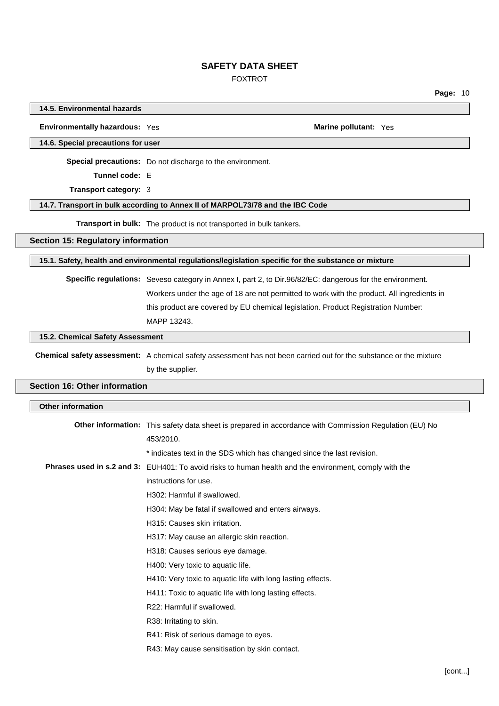### FOXTROT

**Page:** 10

**14.5. Environmental hazards**

**Environmentally hazardous:** Yes **Marine Marine Marine** pollutant: Yes **Marine Marine** pollutant: Yes

**14.6. Special precautions for user**

**Special precautions:** Do not discharge to the environment.

**Tunnel code:** E

**Transport category:** 3

#### **14.7. Transport in bulk according to Annex II of MARPOL73/78 and the IBC Code**

**Transport in bulk:** The product is not transported in bulk tankers.

**Section 15: Regulatory information**

**15.1. Safety, health and environmental regulations/legislation specific for the substance or mixture**

**Specific regulations:** Seveso category in Annex I, part 2, to Dir.96/82/EC: dangerous for the environment.

Workers under the age of 18 are not permitted to work with the product. All ingredients in

this product are covered by EU chemical legislation. Product Registration Number:

MAPP 13243.

**15.2. Chemical Safety Assessment**

**Chemical safety assessment:** A chemical safety assessment has not been carried out for the substance or the mixture by the supplier.

## **Section 16: Other information**

| <b>Other information</b> |                                                                                                        |
|--------------------------|--------------------------------------------------------------------------------------------------------|
|                          | Other information: This safety data sheet is prepared in accordance with Commission Regulation (EU) No |
|                          | 453/2010.                                                                                              |
|                          | * indicates text in the SDS which has changed since the last revision.                                 |
|                          | Phrases used in s.2 and 3: EUH401: To avoid risks to human health and the environment, comply with the |
|                          | instructions for use.                                                                                  |
|                          | H302: Harmful if swallowed.                                                                            |
|                          | H304: May be fatal if swallowed and enters airways.                                                    |
|                          | H315: Causes skin irritation.                                                                          |
|                          | H317: May cause an allergic skin reaction.                                                             |
|                          | H318: Causes serious eye damage.                                                                       |
|                          | H400: Very toxic to aquatic life.                                                                      |
|                          | H410: Very toxic to aquatic life with long lasting effects.                                            |
|                          | H411: Toxic to aquatic life with long lasting effects.                                                 |
|                          | R22: Harmful if swallowed.                                                                             |
|                          | R38: Irritating to skin.                                                                               |
|                          | R41: Risk of serious damage to eyes.                                                                   |
|                          | R43: May cause sensitisation by skin contact.                                                          |